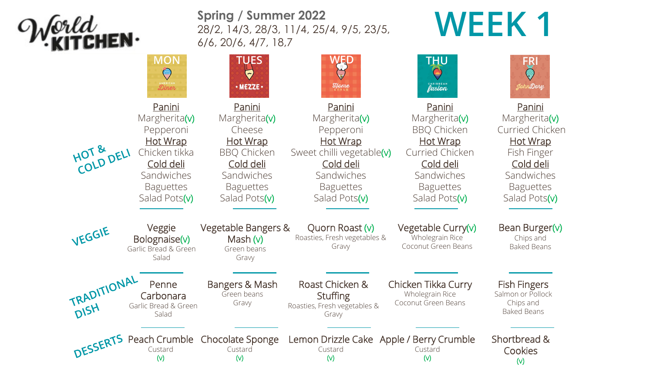

**Spring / Summer 2022** 28/2, 14/3, 28/3, 11/4, 25/4, 9/5, 23/5, 6/6, 20/6, 4/7, 18,7

## **WEEK 1**

|                     | <b>MON</b><br>Diner                                                                                                                      | <b>TUES</b><br>· MEZZE ·                                                                                                                   | <b>Ilome</b>                                                                                                                                         | <b>THU</b><br>CARIBBEAN                                                                                                                                    | FRI<br>JohnDory                                                                                                                                     |
|---------------------|------------------------------------------------------------------------------------------------------------------------------------------|--------------------------------------------------------------------------------------------------------------------------------------------|------------------------------------------------------------------------------------------------------------------------------------------------------|------------------------------------------------------------------------------------------------------------------------------------------------------------|-----------------------------------------------------------------------------------------------------------------------------------------------------|
| HOT & DELI          | Panini<br>Margherita(v)<br>Pepperoni<br><b>Hot Wrap</b><br>Chicken tikka<br>Cold deli<br>Sandwiches<br><b>Baguettes</b><br>Salad Pots(v) | Panini<br>Margherita(v)<br>Cheese<br><b>Hot Wrap</b><br><b>BBQ Chicken</b><br>Cold deli<br>Sandwiches<br><b>Baguettes</b><br>Salad Pots(v) | Panini<br>Margherita(v)<br>Pepperoni<br><b>Hot Wrap</b><br>Sweet chilli vegetable(v)<br>Cold deli<br>Sandwiches<br><b>Baguettes</b><br>Salad Pots(v) | Panini<br>Margherita(v)<br><b>BBQ Chicken</b><br><b>Hot Wrap</b><br><b>Curried Chicken</b><br>Cold deli<br>Sandwiches<br><b>Baguettes</b><br>Salad Pots(v) | Panini<br>Margherita(v)<br><b>Curried Chicken</b><br><b>Hot Wrap</b><br>Fish Finger<br>Cold deli<br>Sandwiches<br><b>Baguettes</b><br>Salad Pots(v) |
| VEGGIE              | Veggie<br>Bolognaise(v)<br>Garlic Bread & Green<br>Salad                                                                                 | Vegetable Bangers &<br>Mash $(v)$<br>Green beans<br>Gravy                                                                                  | Quorn Roast (v)<br>Roasties, Fresh vegetables &<br>Gravy                                                                                             | Vegetable Curry $(v)$<br>Wholegrain Rice<br>Coconut Green Beans                                                                                            | Bean Burger(v)<br>Chips and<br><b>Baked Beans</b>                                                                                                   |
| TRADITIONAL<br>DISH | Penne<br>Carbonara<br>Garlic Bread & Green<br>Salad                                                                                      | Bangers & Mash<br>Green beans<br>Gravy                                                                                                     | Roast Chicken &<br><b>Stuffing</b><br>Roasties, Fresh vegetables &<br>Gravy                                                                          | Chicken Tikka Curry<br>Wholegrain Rice<br>Coconut Green Beans                                                                                              | <b>Fish Fingers</b><br>Salmon or Pollock<br>Chips and<br><b>Baked Beans</b>                                                                         |
| DESSERTS            | Peach Crumble<br>Custard<br>$(\vee)$                                                                                                     | Chocolate Sponge<br>Custard<br>$(\vee)$                                                                                                    | Lemon Drizzle Cake Apple / Berry Crumble<br>Custard<br>$(\vee)$                                                                                      | Custard<br>$(\vee)$                                                                                                                                        | Shortbread &<br>Cookies<br>$(\vee)$                                                                                                                 |